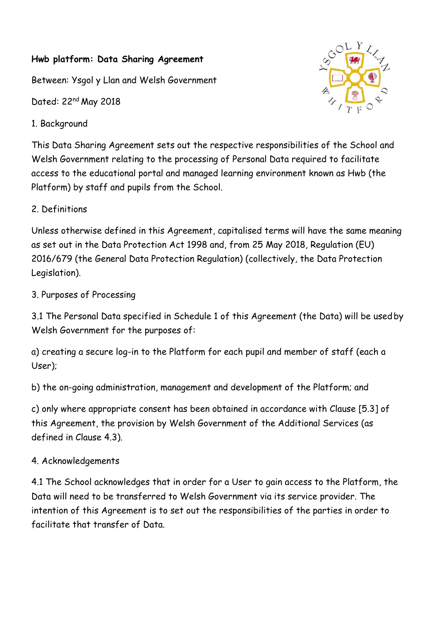#### **Hwb platform: Data Sharing Agreement**

Between: Ysgol y Llan and Welsh Government

Dated: 22nd May 2018

1. Background



This Data Sharing Agreement sets out the respective responsibilities of the School and Welsh Government relating to the processing of Personal Data required to facilitate access to the educational portal and managed learning environment known as Hwb (the Platform) by staff and pupils from the School.

2. Definitions

Unless otherwise defined in this Agreement, capitalised terms will have the same meaning as set out in the Data Protection Act 1998 and, from 25 May 2018, Regulation (EU) 2016/679 (the General Data Protection Regulation) (collectively, the Data Protection Legislation).

3. Purposes of Processing

3.1 The Personal Data specified in Schedule 1 of this Agreement (the Data) will be usedby Welsh Government for the purposes of:

a) creating a secure log-in to the Platform for each pupil and member of staff (each a User);

b) the on-going administration, management and development of the Platform; and

c) only where appropriate consent has been obtained in accordance with Clause [5.3] of this Agreement, the provision by Welsh Government of the Additional Services (as defined in Clause 4.3).

# 4. Acknowledgements

4.1 The School acknowledges that in order for a User to gain access to the Platform, the Data will need to be transferred to Welsh Government via its service provider. The intention of this Agreement is to set out the responsibilities of the parties in order to facilitate that transfer of Data.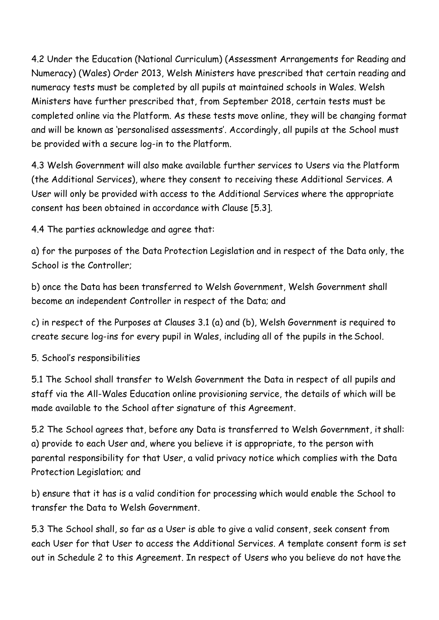4.2 Under the Education (National Curriculum) (Assessment Arrangements for Reading and Numeracy) (Wales) Order 2013, Welsh Ministers have prescribed that certain reading and numeracy tests must be completed by all pupils at maintained schools in Wales. Welsh Ministers have further prescribed that, from September 2018, certain tests must be completed online via the Platform. As these tests move online, they will be changing format and will be known as 'personalised assessments'. Accordingly, all pupils at the School must be provided with a secure log-in to the Platform.

4.3 Welsh Government will also make available further services to Users via the Platform (the Additional Services), where they consent to receiving these Additional Services. A User will only be provided with access to the Additional Services where the appropriate consent has been obtained in accordance with Clause [5.3].

4.4 The parties acknowledge and agree that:

a) for the purposes of the Data Protection Legislation and in respect of the Data only, the School is the Controller;

b) once the Data has been transferred to Welsh Government, Welsh Government shall become an independent Controller in respect of the Data; and

c) in respect of the Purposes at Clauses 3.1 (a) and (b), Welsh Government is required to create secure log-ins for every pupil in Wales, including all of the pupils in the School.

5. School's responsibilities

5.1 The School shall transfer to Welsh Government the Data in respect of all pupils and staff via the All-Wales Education online provisioning service, the details of which will be made available to the School after signature of this Agreement.

5.2 The School agrees that, before any Data is transferred to Welsh Government, it shall: a) provide to each User and, where you believe it is appropriate, to the person with parental responsibility for that User, a valid privacy notice which complies with the Data Protection Legislation; and

b) ensure that it has is a valid condition for processing which would enable the School to transfer the Data to Welsh Government.

5.3 The School shall, so far as a User is able to give a valid consent, seek consent from each User for that User to access the Additional Services. A template consent form is set out in Schedule 2 to this Agreement. In respect of Users who you believe do not have the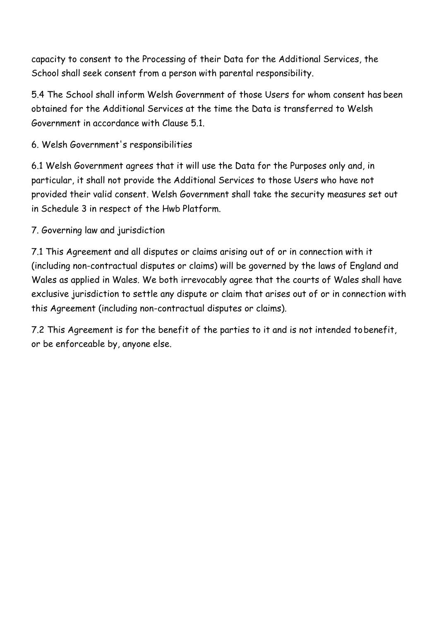capacity to consent to the Processing of their Data for the Additional Services, the School shall seek consent from a person with parental responsibility.

5.4 The School shall inform Welsh Government of those Users for whom consent has been obtained for the Additional Services at the time the Data is transferred to Welsh Government in accordance with Clause 5.1.

## 6. Welsh Government's responsibilities

6.1 Welsh Government agrees that it will use the Data for the Purposes only and, in particular, it shall not provide the Additional Services to those Users who have not provided their valid consent. Welsh Government shall take the security measures set out in Schedule 3 in respect of the Hwb Platform.

### 7. Governing law and jurisdiction

7.1 This Agreement and all disputes or claims arising out of or in connection with it (including non-contractual disputes or claims) will be governed by the laws of England and Wales as applied in Wales. We both irrevocably agree that the courts of Wales shall have exclusive jurisdiction to settle any dispute or claim that arises out of or in connection with this Agreement (including non-contractual disputes or claims).

7.2 This Agreement is for the benefit of the parties to it and is not intended tobenefit, or be enforceable by, anyone else.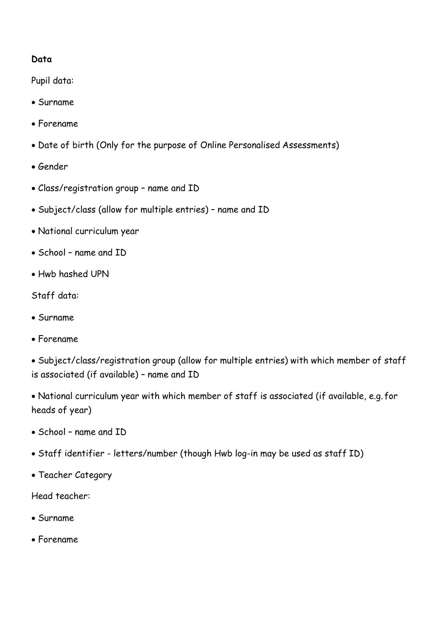#### **Data**

Pupil data:

- Surname
- Forename
- Date of birth (Only for the purpose of Online Personalised Assessments)
- Gender
- Class/registration group name and ID
- Subject/class (allow for multiple entries) name and ID
- National curriculum year
- School name and ID
- Hwb hashed UPN

Staff data:

- Surname
- Forename

 Subject/class/registration group (allow for multiple entries) with which member of staff is associated (if available) – name and ID

 National curriculum year with which member of staff is associated (if available, e.g. for heads of year)

- School name and ID
- Staff identifier letters/number (though Hwb log-in may be used as staff ID)
- Teacher Category

Head teacher:

- Surname
- Forename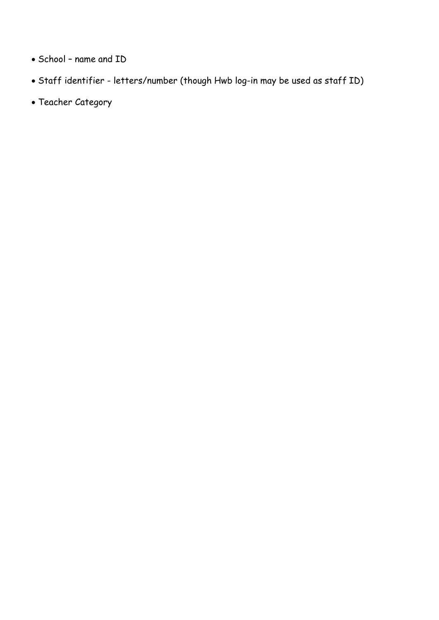- School name and ID
- Staff identifier letters/number (though Hwb log-in may be used as staff ID)
- Teacher Category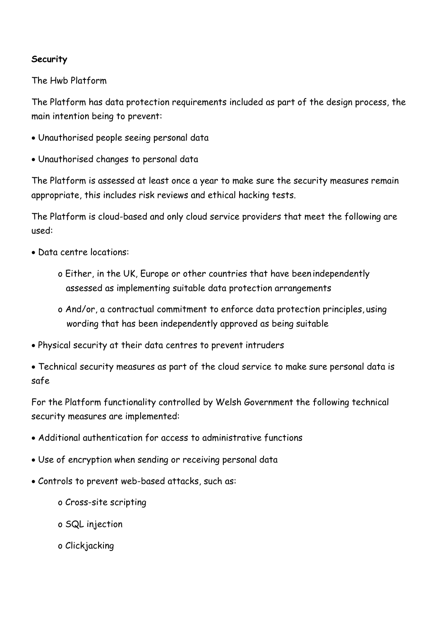### **Security**

The Hwb Platform

The Platform has data protection requirements included as part of the design process, the main intention being to prevent:

- Unauthorised people seeing personal data
- Unauthorised changes to personal data

The Platform is assessed at least once a year to make sure the security measures remain appropriate, this includes risk reviews and ethical hacking tests.

The Platform is cloud-based and only cloud service providers that meet the following are used:

- Data centre locations:
	- o Either, in the UK, Europe or other countries that have been independently assessed as implementing suitable data protection arrangements
	- o And/or, a contractual commitment to enforce data protection principles, using wording that has been independently approved as being suitable
- Physical security at their data centres to prevent intruders
- Technical security measures as part of the cloud service to make sure personal data is safe

For the Platform functionality controlled by Welsh Government the following technical security measures are implemented:

- Additional authentication for access to administrative functions
- Use of encryption when sending or receiving personal data
- Controls to prevent web-based attacks, such as:
	- o Cross-site scripting
	- o SQL injection
	- o Clickjacking